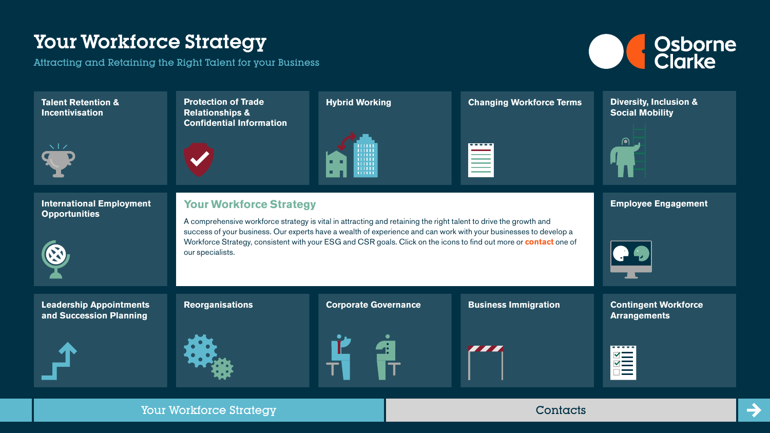Attracting and Retaining the Right Talent for your Business



 $\rightarrow$ 

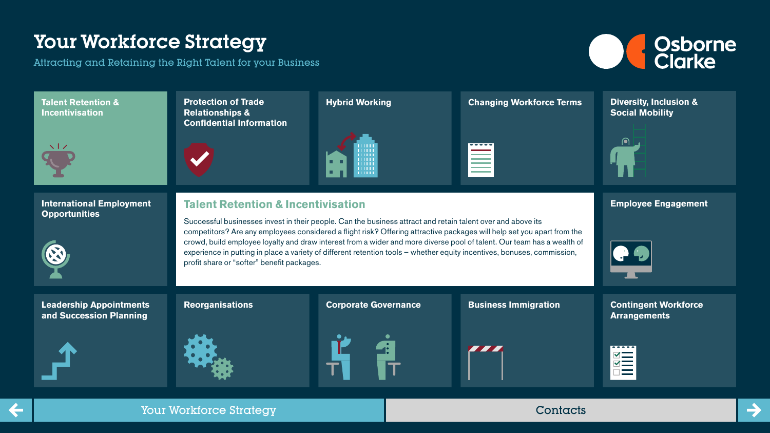

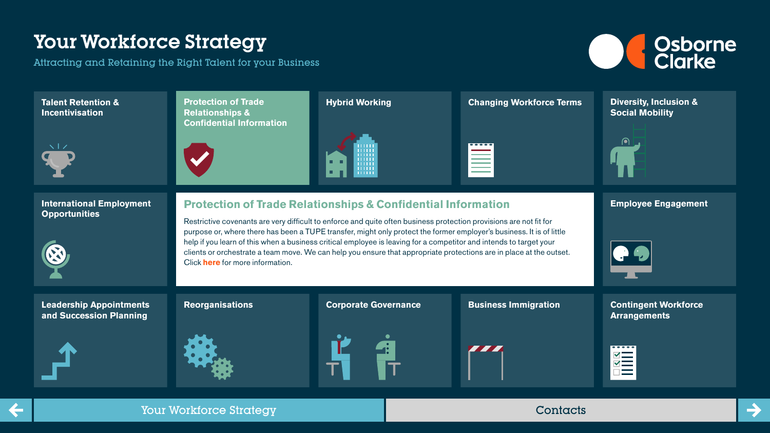

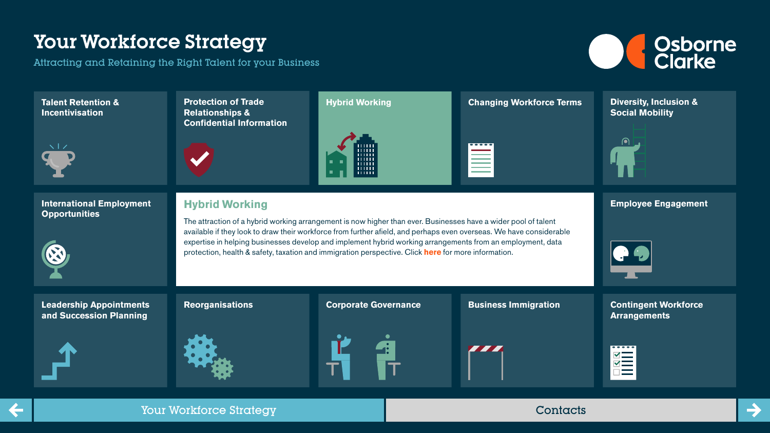

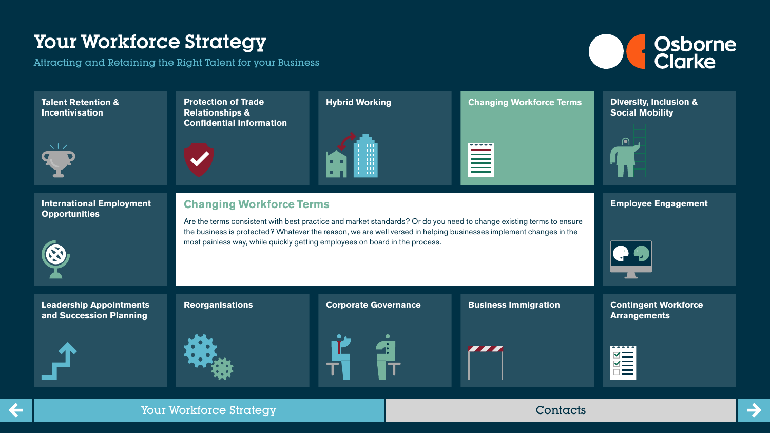Attracting and Retaining the Right Talent for your Business



 $\rightarrow$ 

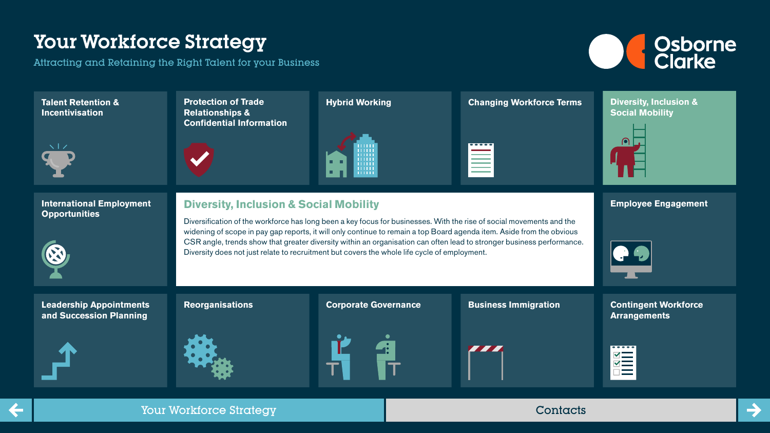Attracting and Retaining the Right Talent for your Business



 $\rightarrow$ 

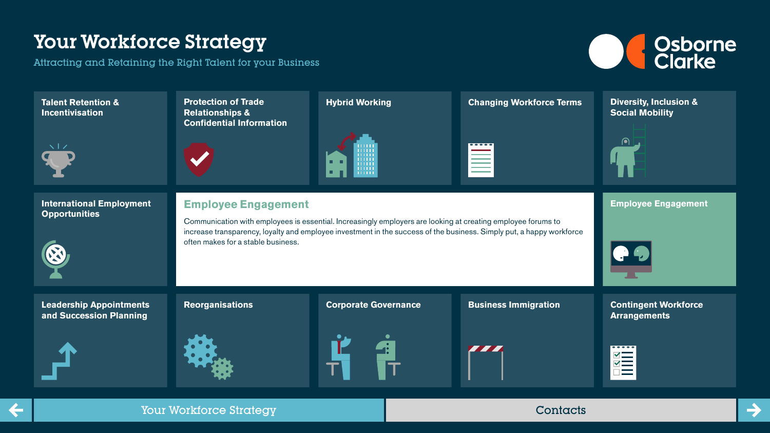![](_page_6_Picture_2.jpeg)

| <b>Talent Retention &amp;</b><br><b>Incentivisation</b>   | <b>Protection of Trade</b><br><b>Relationships &amp;</b><br><b>Confidential Information</b>                                                                                                                                                                                                              | <b>Hybrid Working</b><br>шш<br><b>TELE</b><br>WW | <b>Changing Workforce Terms</b><br>----- | <b>Diversity, Inclusion &amp;</b><br><b>Social Mobility</b><br>$\left( \bullet \right)$ |
|-----------------------------------------------------------|----------------------------------------------------------------------------------------------------------------------------------------------------------------------------------------------------------------------------------------------------------------------------------------------------------|--------------------------------------------------|------------------------------------------|-----------------------------------------------------------------------------------------|
| <b>International Employment</b><br><b>Opportunities</b>   | <b>Employee Engagement</b><br>Communication with employees is essential. Increasingly employers are looking at creating employee forums to<br>increase transparency, loyalty and employee investment in the success of the business. Simply put, a happy workforce<br>often makes for a stable business. |                                                  |                                          | <b>Employee Engagement</b>                                                              |
| <b>Leadership Appointments</b><br>and Succession Planning | <b>Reorganisations</b>                                                                                                                                                                                                                                                                                   | <b>Corporate Governance</b>                      | <b>Business Immigration</b>              | <b>Contingent Workforce</b><br><b>Arrangements</b><br><b>MEN</b>                        |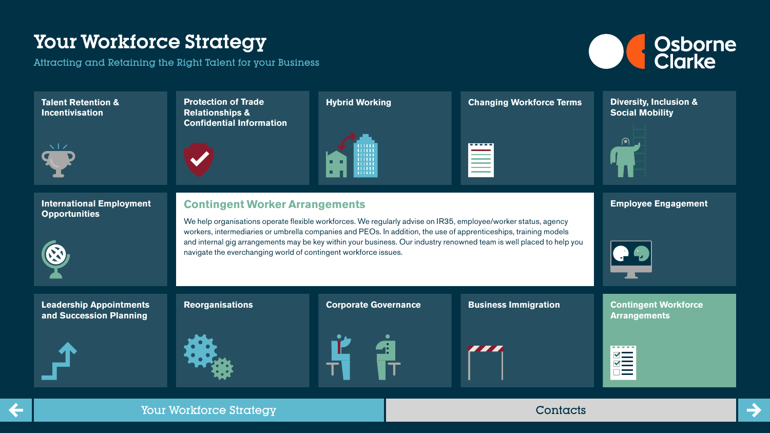Attracting and Retaining the Right Talent for your Business

![](_page_7_Picture_2.jpeg)

 $\rightarrow$ 

![](_page_7_Figure_3.jpeg)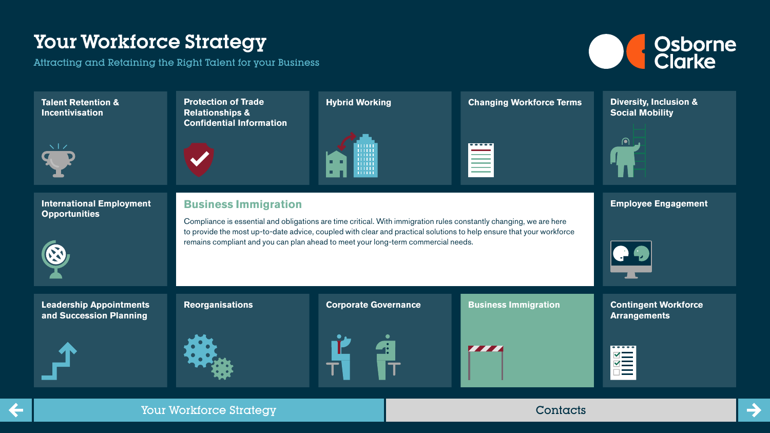![](_page_8_Picture_2.jpeg)

![](_page_8_Figure_3.jpeg)

![](_page_8_Picture_7.jpeg)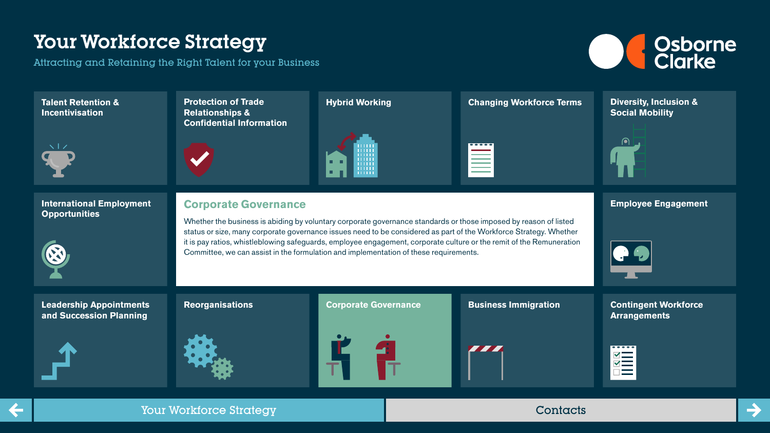Attracting and Retaining the Right Talent for your Business

![](_page_9_Picture_2.jpeg)

 $\rightarrow$ 

![](_page_9_Figure_3.jpeg)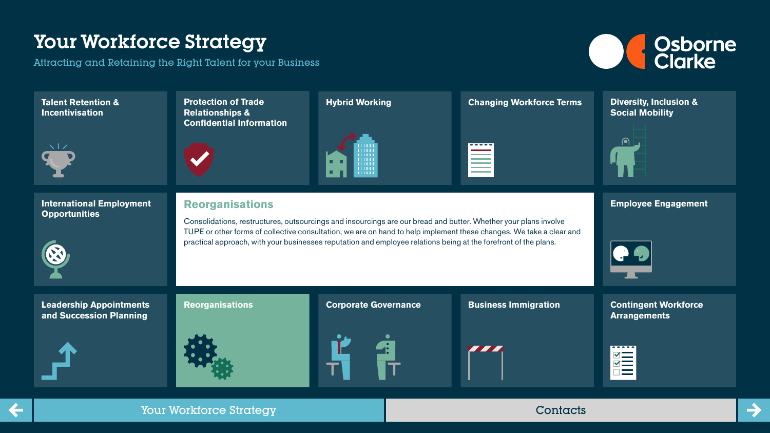Attracting and Retaining the Right Talent for your Business

![](_page_10_Picture_2.jpeg)

![](_page_10_Figure_3.jpeg)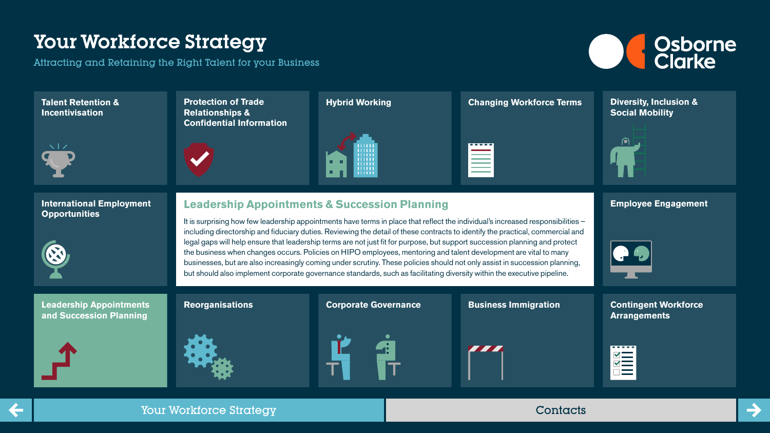![](_page_11_Picture_2.jpeg)

![](_page_11_Figure_3.jpeg)

![](_page_11_Picture_7.jpeg)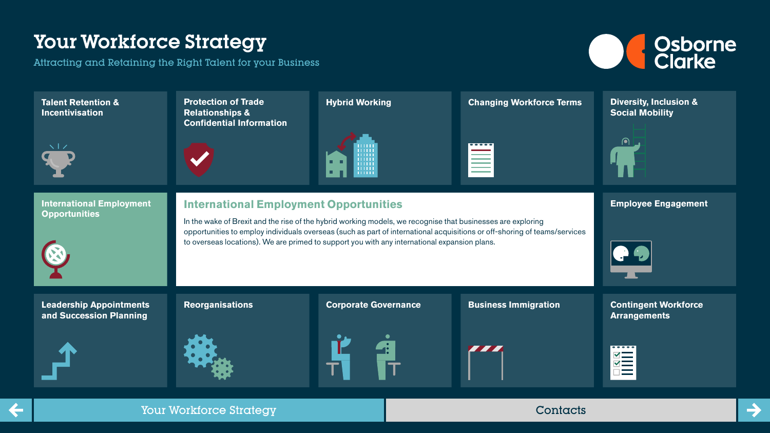![](_page_12_Picture_2.jpeg)

![](_page_12_Figure_3.jpeg)

![](_page_12_Picture_7.jpeg)